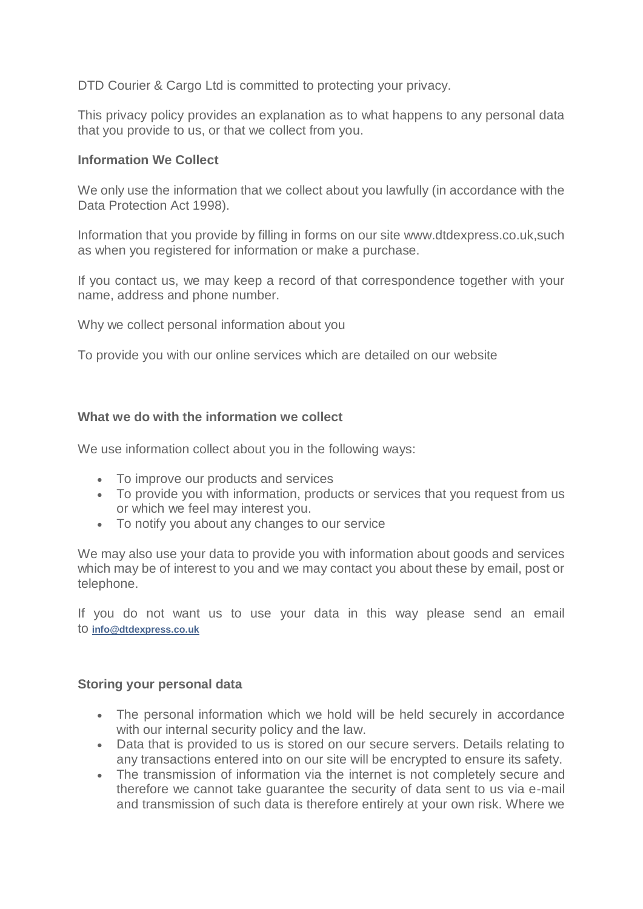DTD Courier & Cargo Ltd is committed to protecting your privacy.

This privacy policy provides an explanation as to what happens to any personal data that you provide to us, or that we collect from you.

## **Information We Collect**

We only use the information that we collect about you lawfully (in accordance with the Data Protection Act 1998).

Information that you provide by filling in forms on our site www.dtdexpress.co.uk,such as when you registered for information or make a purchase.

If you contact us, we may keep a record of that correspondence together with your name, address and phone number.

Why we collect personal information about you

To provide you with our online services which are detailed on our website

## **What we do with the information we collect**

We use information collect about you in the following ways:

- To improve our products and services
- To provide you with information, products or services that you request from us or which we feel may interest you.
- To notify you about any changes to our service

We may also use your data to provide you with information about goods and services which may be of interest to you and we may contact you about these by email, post or telephone.

If you do not want us to use your data in this way please send an email to **[info@dtdexpress.co.uk](mailto:info@dtdexpress.co.uk)**

## **Storing your personal data**

- The personal information which we hold will be held securely in accordance with our internal security policy and the law.
- Data that is provided to us is stored on our secure servers. Details relating to any transactions entered into on our site will be encrypted to ensure its safety.
- The transmission of information via the internet is not completely secure and therefore we cannot take guarantee the security of data sent to us via e-mail and transmission of such data is therefore entirely at your own risk. Where we